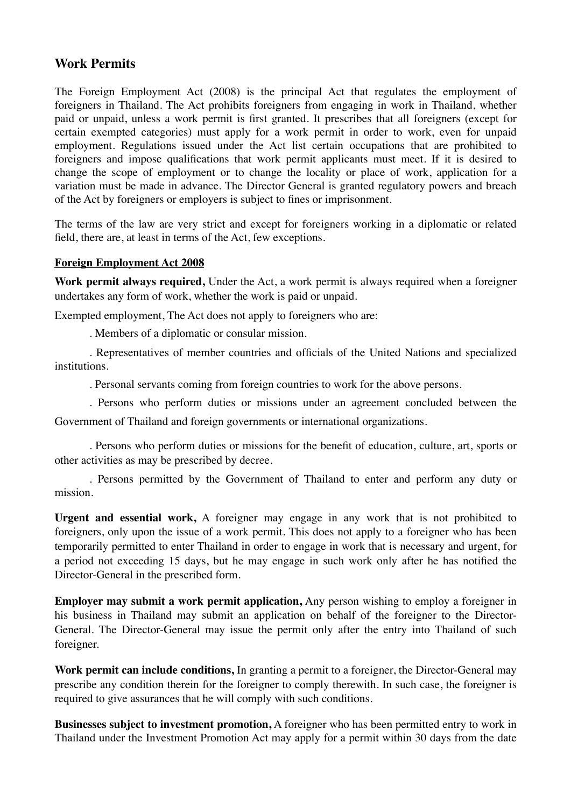## **Work Permits**

The Foreign Employment Act (2008) is the principal Act that regulates the employment of foreigners in Thailand. The Act prohibits foreigners from engaging in work in Thailand, whether paid or unpaid, unless a work permit is first granted. It prescribes that all foreigners (except for certain exempted categories) must apply for a work permit in order to work, even for unpaid employment. Regulations issued under the Act list certain occupations that are prohibited to foreigners and impose qualifications that work permit applicants must meet. If it is desired to change the scope of employment or to change the locality or place of work, application for a variation must be made in advance. The Director General is granted regulatory powers and breach of the Act by foreigners or employers is subject to fines or imprisonment.

The terms of the law are very strict and except for foreigners working in a diplomatic or related field, there are, at least in terms of the Act, few exceptions.

## **Foreign Employment Act 2008**

**Work permit always required,** Under the Act, a work permit is always required when a foreigner undertakes any form of work, whether the work is paid or unpaid.

Exempted employment, The Act does not apply to foreigners who are:

. Members of a diplomatic or consular mission.

. Representatives of member countries and officials of the United Nations and specialized institutions.

. Personal servants coming from foreign countries to work for the above persons.

. Persons who perform duties or missions under an agreement concluded between the

Government of Thailand and foreign governments or international organizations.

. Persons who perform duties or missions for the benefit of education, culture, art, sports or other activities as may be prescribed by decree.

. Persons permitted by the Government of Thailand to enter and perform any duty or mission.

**Urgent and essential work,** A foreigner may engage in any work that is not prohibited to foreigners, only upon the issue of a work permit. This does not apply to a foreigner who has been temporarily permitted to enter Thailand in order to engage in work that is necessary and urgent, for a period not exceeding 15 days, but he may engage in such work only after he has notified the Director-General in the prescribed form.

**Employer may submit a work permit application,** Any person wishing to employ a foreigner in his business in Thailand may submit an application on behalf of the foreigner to the Director-General. The Director-General may issue the permit only after the entry into Thailand of such foreigner.

**Work permit can include conditions,** In granting a permit to a foreigner, the Director-General may prescribe any condition therein for the foreigner to comply therewith. In such case, the foreigner is required to give assurances that he will comply with such conditions.

**Businesses subject to investment promotion,** A foreigner who has been permitted entry to work in Thailand under the Investment Promotion Act may apply for a permit within 30 days from the date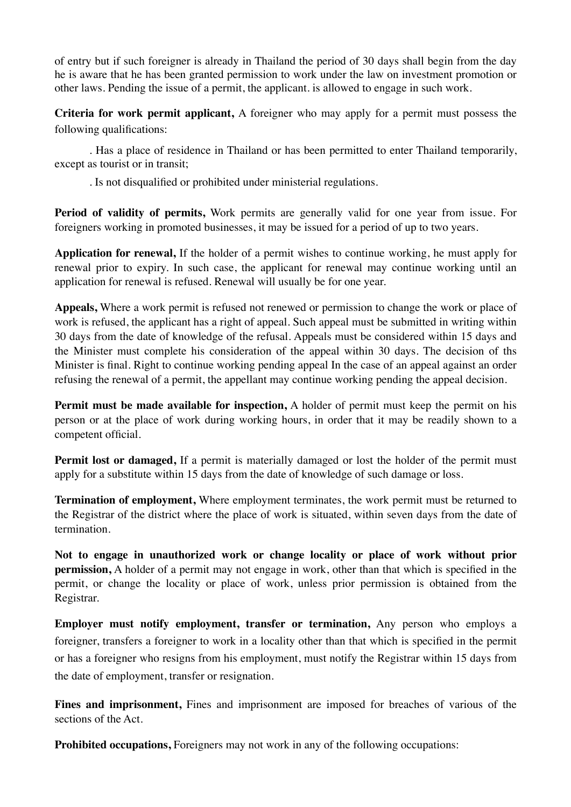of entry but if such foreigner is already in Thailand the period of 30 days shall begin from the day he is aware that he has been granted permission to work under the law on investment promotion or other laws. Pending the issue of a permit, the applicant. is allowed to engage in such work.

**Criteria for work permit applicant,** A foreigner who may apply for a permit must possess the following qualifications:

. Has a place of residence in Thailand or has been permitted to enter Thailand temporarily, except as tourist or in transit;

. Is not disqualified or prohibited under ministerial regulations.

**Period of validity of permits,** Work permits are generally valid for one year from issue. For foreigners working in promoted businesses, it may be issued for a period of up to two years.

**Application for renewal,** If the holder of a permit wishes to continue working, he must apply for renewal prior to expiry. In such case, the applicant for renewal may continue working until an application for renewal is refused. Renewal will usually be for one year.

**Appeals,** Where a work permit is refused not renewed or permission to change the work or place of work is refused, the applicant has a right of appeal. Such appeal must be submitted in writing within 30 days from the date of knowledge of the refusal. Appeals must be considered within 15 days and the Minister must complete his consideration of the appeal within 30 days. The decision of ths Minister is final. Right to continue working pending appeal In the case of an appeal against an order refusing the renewal of a permit, the appellant may continue working pending the appeal decision.

**Permit must be made available for inspection,** A holder of permit must keep the permit on his person or at the place of work during working hours, in order that it may be readily shown to a competent official.

**Permit lost or damaged,** If a permit is materially damaged or lost the holder of the permit must apply for a substitute within 15 days from the date of knowledge of such damage or loss.

**Termination of employment,** Where employment terminates, the work permit must be returned to the Registrar of the district where the place of work is situated, within seven days from the date of termination.

**Not to engage in unauthorized work or change locality or place of work without prior permission,** A holder of a permit may not engage in work, other than that which is specified in the permit, or change the locality or place of work, unless prior permission is obtained from the Registrar.

**Employer must notify employment, transfer or termination,** Any person who employs a foreigner, transfers a foreigner to work in a locality other than that which is specified in the permit or has a foreigner who resigns from his employment, must notify the Registrar within 15 days from the date of employment, transfer or resignation.

**Fines and imprisonment,** Fines and imprisonment are imposed for breaches of various of the sections of the Act.

**Prohibited occupations, Foreigners may not work in any of the following occupations:**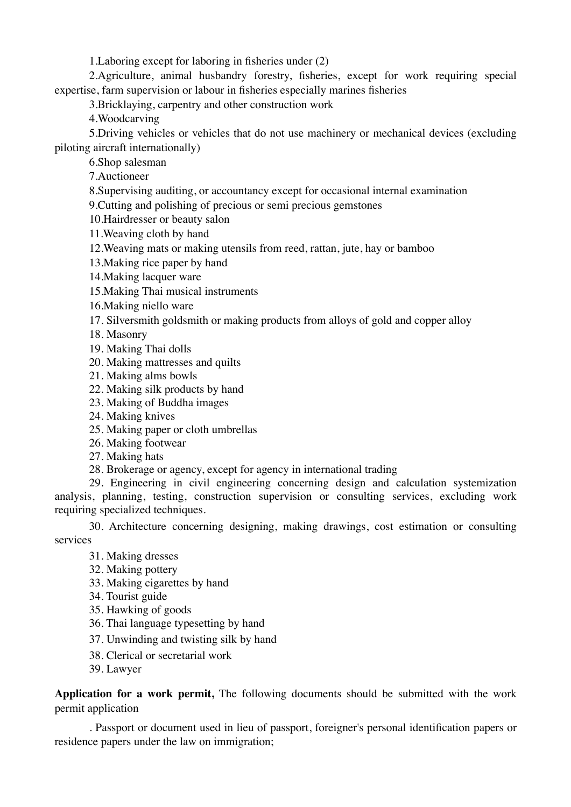1.Laboring except for laboring in fisheries under (2)

2.Agriculture, animal husbandry forestry, fisheries, except for work requiring special expertise, farm supervision or labour in fisheries especially marines fisheries

3.Bricklaying, carpentry and other construction work

4.Woodcarving

5.Driving vehicles or vehicles that do not use machinery or mechanical devices (excluding piloting aircraft internationally)

6.Shop salesman

7.Auctioneer

8.Supervising auditing, or accountancy except for occasional internal examination

9.Cutting and polishing of precious or semi precious gemstones

10.Hairdresser or beauty salon

11.Weaving cloth by hand

12.Weaving mats or making utensils from reed, rattan, jute, hay or bamboo

13.Making rice paper by hand

14.Making lacquer ware

15.Making Thai musical instruments

16.Making niello ware

17. Silversmith goldsmith or making products from alloys of gold and copper alloy

18. Masonry

19. Making Thai dolls

20. Making mattresses and quilts

21. Making alms bowls

22. Making silk products by hand

23. Making of Buddha images

24. Making knives

25. Making paper or cloth umbrellas

26. Making footwear

27. Making hats

28. Brokerage or agency, except for agency in international trading

29. Engineering in civil engineering concerning design and calculation systemization analysis, planning, testing, construction supervision or consulting services, excluding work requiring specialized techniques.

30. Architecture concerning designing, making drawings, cost estimation or consulting services

31. Making dresses

32. Making pottery

33. Making cigarettes by hand

34. Tourist guide

35. Hawking of goods

36. Thai language typesetting by hand

37. Unwinding and twisting silk by hand

38. Clerical or secretarial work

39. Lawyer

**Application for a work permit,** The following documents should be submitted with the work permit application

. Passport or document used in lieu of passport, foreigner's personal identification papers or residence papers under the law on immigration;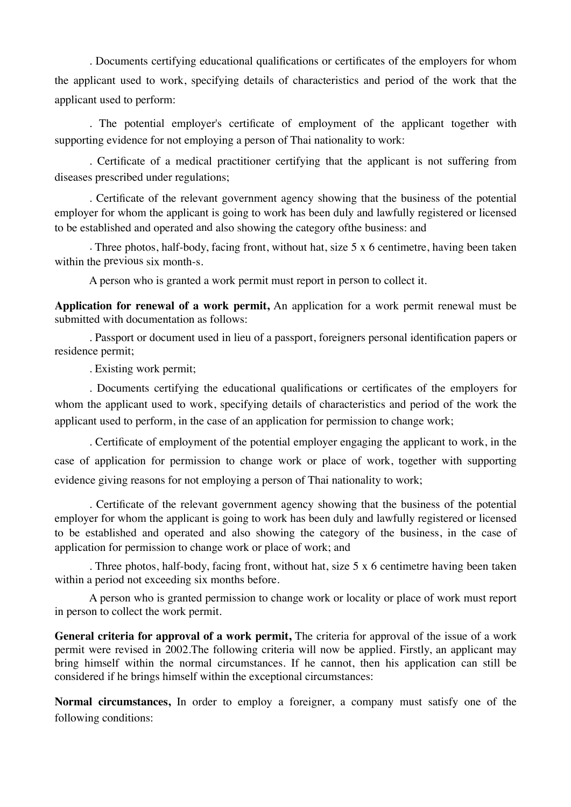. Documents certifying educational qualifications or certificates of the employers for whom the applicant used to work, specifying details of characteristics and period of the work that the applicant used to perform:

. The potential employer's certificate of employment of the applicant together with supporting evidence for not employing a person of Thai nationality to work:

. Certificate of a medical practitioner certifying that the applicant is not suffering from diseases prescribed under regulations;

. Certificate of the relevant government agency showing that the business of the potential employer for whom the applicant is going to work has been duly and lawfully registered or licensed to be established and operated and also showing the category ofthe business: and

. Three photos, half-body, facing front, without hat, size 5 x 6 centimetre, having been taken within the previous six month-s.

A person who is granted a work permit must report in person to collect it.

**Application for renewal of a work permit,** An application for a work permit renewal must be submitted with documentation as follows:

. Passport or document used in lieu of a passport, foreigners personal identification papers or residence permit;

. Existing work permit;

. Documents certifying the educational qualifications or certificates of the employers for whom the applicant used to work, specifying details of characteristics and period of the work the applicant used to perform, in the case of an application for permission to change work;

. Certificate of employment of the potential employer engaging the applicant to work, in the case of application for permission to change work or place of work, together with supporting evidence giving reasons for not employing a person of Thai nationality to work;

. Certificate of the relevant government agency showing that the business of the potential employer for whom the applicant is going to work has been duly and lawfully registered or licensed to be established and operated and also showing the category of the business, in the case of application for permission to change work or place of work; and

. Three photos, half-body, facing front, without hat, size 5 x 6 centimetre having been taken within a period not exceeding six months before.

A person who is granted permission to change work or locality or place of work must report in person to collect the work permit.

**General criteria for approval of a work permit,** The criteria for approval of the issue of a work permit were revised in 2002.The following criteria will now be applied. Firstly, an applicant may bring himself within the normal circumstances. If he cannot, then his application can still be considered if he brings himself within the exceptional circumstances:

**Normal circumstances,** In order to employ a foreigner, a company must satisfy one of the following conditions: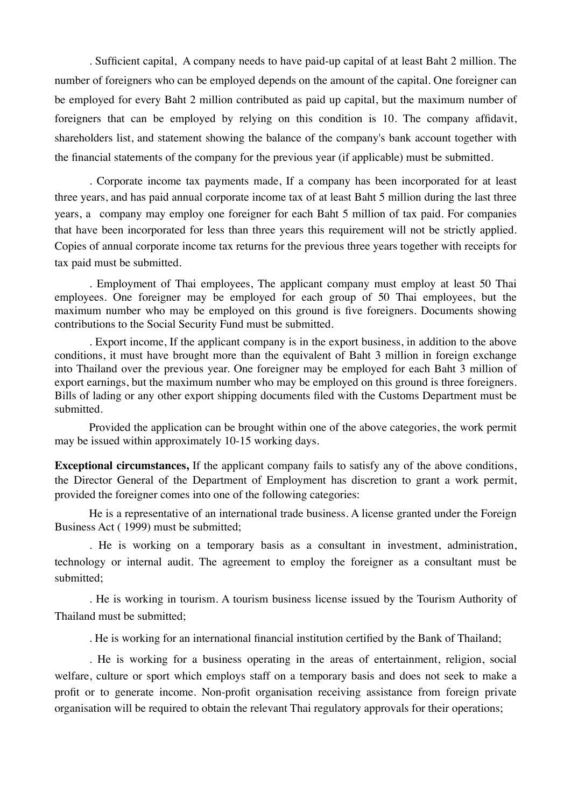. Sufficient capital, A company needs to have paid-up capital of at least Baht 2 million. The number of foreigners who can be employed depends on the amount of the capital. One foreigner can be employed for every Baht 2 million contributed as paid up capital, but the maximum number of foreigners that can be employed by relying on this condition is 10. The company affidavit, shareholders list, and statement showing the balance of the company's bank account together with the financial statements of the company for the previous year (if applicable) must be submitted.

. Corporate income tax payments made, If a company has been incorporated for at least three years, and has paid annual corporate income tax of at least Baht 5 million during the last three years, a company may employ one foreigner for each Baht 5 million of tax paid. For companies that have been incorporated for less than three years this requirement will not be strictly applied. Copies of annual corporate income tax returns for the previous three years together with receipts for tax paid must be submitted.

. Employment of Thai employees, The applicant company must employ at least 50 Thai employees. One foreigner may be employed for each group of 50 Thai employees, but the maximum number who may be employed on this ground is five foreigners. Documents showing contributions to the Social Security Fund must be submitted.

. Export income, If the applicant company is in the export business, in addition to the above conditions, it must have brought more than the equivalent of Baht 3 million in foreign exchange into Thailand over the previous year. One foreigner may be employed for each Baht 3 million of export earnings, but the maximum number who may be employed on this ground is three foreigners. Bills of lading or any other export shipping documents filed with the Customs Department must be submitted.

Provided the application can be brought within one of the above categories, the work permit may be issued within approximately 10-15 working days.

**Exceptional circumstances,** If the applicant company fails to satisfy any of the above conditions, the Director General of the Department of Employment has discretion to grant a work permit, provided the foreigner comes into one of the following categories:

He is a representative of an international trade business. A license granted under the Foreign Business Act ( 1999) must be submitted;

. He is working on a temporary basis as a consultant in investment, administration, technology or internal audit. The agreement to employ the foreigner as a consultant must be submitted;

. He is working in tourism. A tourism business license issued by the Tourism Authority of Thailand must be submitted;

. He is working for an international financial institution certified by the Bank of Thailand;

. He is working for a business operating in the areas of entertainment, religion, social welfare, culture or sport which employs staff on a temporary basis and does not seek to make a profit or to generate income. Non-profit organisation receiving assistance from foreign private organisation will be required to obtain the relevant Thai regulatory approvals for their operations;